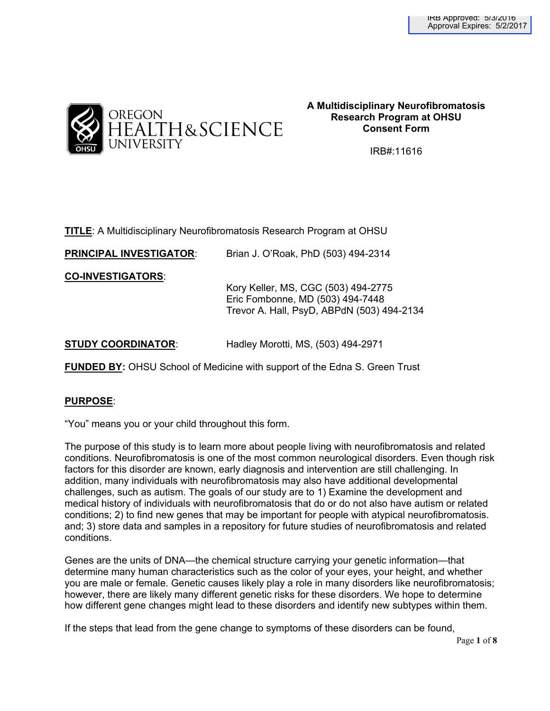

## **A Multidisciplinary Neurofibromatosis Research Program at OHSU Consent Form**

IRB#:11616

|  |  | <b>TITLE:</b> A Multidisciplinary Neurofibromatosis Research Program at OHSU |
|--|--|------------------------------------------------------------------------------|
|  |  |                                                                              |

**PRINCIPAL INVESTIGATOR**: Brian J. O'Roak, PhD (503) 494-2314

**CO-INVESTIGATORS**:

Kory Keller, MS, CGC (503) 494-2775 Eric Fombonne, MD (503) 494-7448 Trevor A. Hall, PsyD, ABPdN (503) 494-2134

| <b>STUDY COORDINATOR:</b><br>Hadley Morotti, MS, (503) 494-2971 |  |  |
|-----------------------------------------------------------------|--|--|
|-----------------------------------------------------------------|--|--|

**FUNDED BY:** OHSU School of Medicine with support of the Edna S. Green Trust

## **PURPOSE**:

"You" means you or your child throughout this form.

The purpose of this study is to learn more about people living with neurofibromatosis and related conditions. Neurofibromatosis is one of the most common neurological disorders. Even though risk factors for this disorder are known, early diagnosis and intervention are still challenging. In addition, many individuals with neurofibromatosis may also have additional developmental challenges, such as autism. The goals of our study are to 1) Examine the development and medical history of individuals with neurofibromatosis that do or do not also have autism or related conditions; 2) to find new genes that may be important for people with atypical neurofibromatosis. and; 3) store data and samples in a repository for future studies of neurofibromatosis and related conditions.

Genes are the units of DNA—the chemical structure carrying your genetic information—that determine many human characteristics such as the color of your eyes, your height, and whether you are male or female. Genetic causes likely play a role in many disorders like neurofibromatosis; however, there are likely many different genetic risks for these disorders. We hope to determine how different gene changes might lead to these disorders and identify new subtypes within them.

If the steps that lead from the gene change to symptoms of these disorders can be found,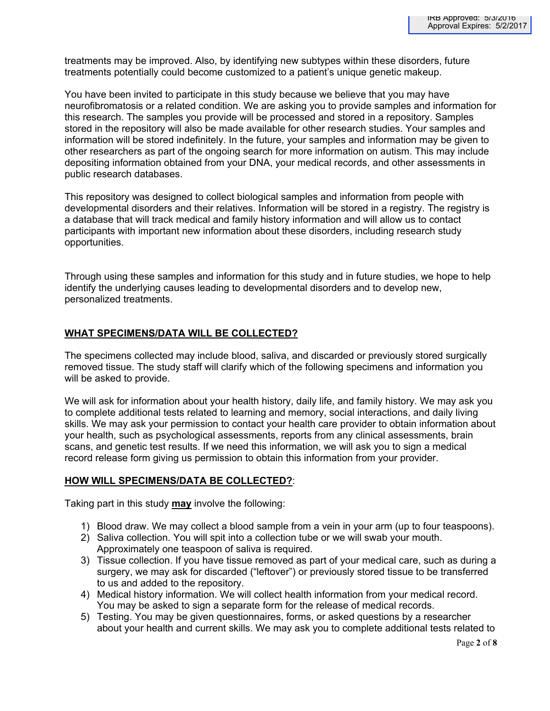treatments may be improved. Also, by identifying new subtypes within these disorders, future treatments potentially could become customized to a patient's unique genetic makeup.

You have been invited to participate in this study because we believe that you may have neurofibromatosis or a related condition. We are asking you to provide samples and information for this research. The samples you provide will be processed and stored in a repository. Samples stored in the repository will also be made available for other research studies. Your samples and information will be stored indefinitely. In the future, your samples and information may be given to other researchers as part of the ongoing search for more information on autism. This may include depositing information obtained from your DNA, your medical records, and other assessments in public research databases.

This repository was designed to collect biological samples and information from people with developmental disorders and their relatives. Information will be stored in a registry. The registry is a database that will track medical and family history information and will allow us to contact participants with important new information about these disorders, including research study opportunities.

Through using these samples and information for this study and in future studies, we hope to help identify the underlying causes leading to developmental disorders and to develop new, personalized treatments.

## **WHAT SPECIMENS/DATA WILL BE COLLECTED?**

The specimens collected may include blood, saliva, and discarded or previously stored surgically removed tissue. The study staff will clarify which of the following specimens and information you will be asked to provide.

We will ask for information about your health history, daily life, and family history. We may ask you to complete additional tests related to learning and memory, social interactions, and daily living skills. We may ask your permission to contact your health care provider to obtain information about your health, such as psychological assessments, reports from any clinical assessments, brain scans, and genetic test results. If we need this information, we will ask you to sign a medical record release form giving us permission to obtain this information from your provider.

## **HOW WILL SPECIMENS/DATA BE COLLECTED?**:

Taking part in this study **may** involve the following:

- 1) Blood draw. We may collect a blood sample from a vein in your arm (up to four teaspoons).
- 2) Saliva collection. You will spit into a collection tube or we will swab your mouth. Approximately one teaspoon of saliva is required.
- 3) Tissue collection. If you have tissue removed as part of your medical care, such as during a surgery, we may ask for discarded ("leftover") or previously stored tissue to be transferred to us and added to the repository.
- 4) Medical history information. We will collect health information from your medical record. You may be asked to sign a separate form for the release of medical records.
- 5) Testing. You may be given questionnaires, forms, or asked questions by a researcher about your health and current skills. We may ask you to complete additional tests related to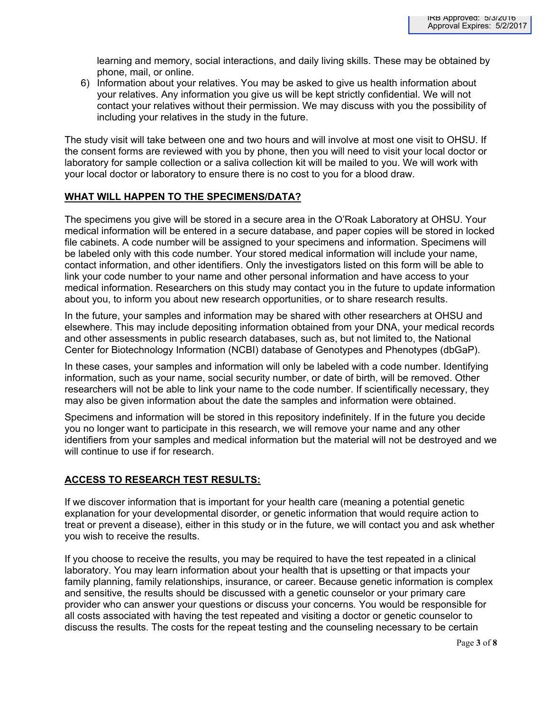learning and memory, social interactions, and daily living skills. These may be obtained by phone, mail, or online.

6) Information about your relatives. You may be asked to give us health information about your relatives. Any information you give us will be kept strictly confidential. We will not contact your relatives without their permission. We may discuss with you the possibility of including your relatives in the study in the future.

The study visit will take between one and two hours and will involve at most one visit to OHSU. If the consent forms are reviewed with you by phone, then you will need to visit your local doctor or laboratory for sample collection or a saliva collection kit will be mailed to you. We will work with your local doctor or laboratory to ensure there is no cost to you for a blood draw.

## **WHAT WILL HAPPEN TO THE SPECIMENS/DATA?**

The specimens you give will be stored in a secure area in the O'Roak Laboratory at OHSU. Your medical information will be entered in a secure database, and paper copies will be stored in locked file cabinets. A code number will be assigned to your specimens and information. Specimens will be labeled only with this code number. Your stored medical information will include your name, contact information, and other identifiers. Only the investigators listed on this form will be able to link your code number to your name and other personal information and have access to your medical information. Researchers on this study may contact you in the future to update information about you, to inform you about new research opportunities, or to share research results.

In the future, your samples and information may be shared with other researchers at OHSU and elsewhere. This may include depositing information obtained from your DNA, your medical records and other assessments in public research databases, such as, but not limited to, the National Center for Biotechnology Information (NCBI) database of Genotypes and Phenotypes (dbGaP).

In these cases, your samples and information will only be labeled with a code number. Identifying information, such as your name, social security number, or date of birth, will be removed. Other researchers will not be able to link your name to the code number. If scientifically necessary, they may also be given information about the date the samples and information were obtained.

Specimens and information will be stored in this repository indefinitely. If in the future you decide you no longer want to participate in this research, we will remove your name and any other identifiers from your samples and medical information but the material will not be destroyed and we will continue to use if for research.

## **ACCESS TO RESEARCH TEST RESULTS:**

If we discover information that is important for your health care (meaning a potential genetic explanation for your developmental disorder, or genetic information that would require action to treat or prevent a disease), either in this study or in the future, we will contact you and ask whether you wish to receive the results.

If you choose to receive the results, you may be required to have the test repeated in a clinical laboratory. You may learn information about your health that is upsetting or that impacts your family planning, family relationships, insurance, or career. Because genetic information is complex and sensitive, the results should be discussed with a genetic counselor or your primary care provider who can answer your questions or discuss your concerns*.* You would be responsible for all costs associated with having the test repeated and visiting a doctor or genetic counselor to discuss the results. The costs for the repeat testing and the counseling necessary to be certain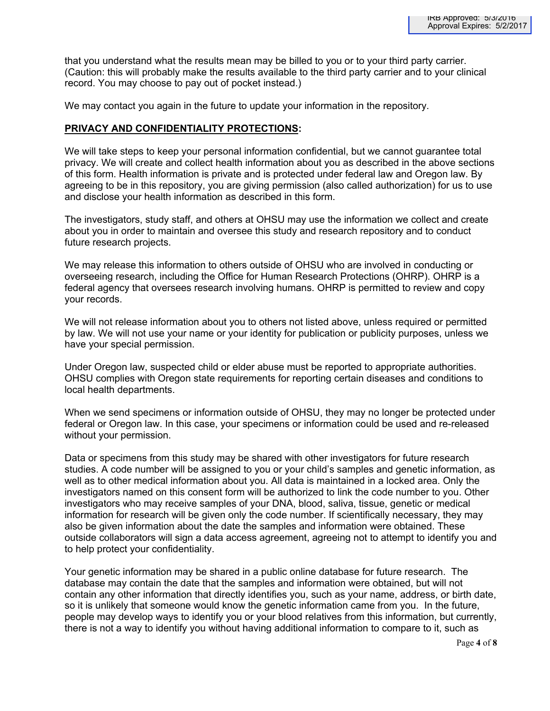that you understand what the results mean may be billed to you or to your third party carrier. (Caution: this will probably make the results available to the third party carrier and to your clinical record. You may choose to pay out of pocket instead.)

We may contact you again in the future to update your information in the repository.

## **PRIVACY AND CONFIDENTIALITY PROTECTIONS:**

We will take steps to keep your personal information confidential, but we cannot guarantee total privacy. We will create and collect health information about you as described in the above sections of this form. Health information is private and is protected under federal law and Oregon law. By agreeing to be in this repository, you are giving permission (also called authorization) for us to use and disclose your health information as described in this form.

The investigators, study staff, and others at OHSU may use the information we collect and create about you in order to maintain and oversee this study and research repository and to conduct future research projects.

We may release this information to others outside of OHSU who are involved in conducting or overseeing research, including the Office for Human Research Protections (OHRP). OHRP is a federal agency that oversees research involving humans. OHRP is permitted to review and copy your records.

We will not release information about you to others not listed above, unless required or permitted by law. We will not use your name or your identity for publication or publicity purposes, unless we have your special permission.

Under Oregon law, suspected child or elder abuse must be reported to appropriate authorities. OHSU complies with Oregon state requirements for reporting certain diseases and conditions to local health departments.

When we send specimens or information outside of OHSU, they may no longer be protected under federal or Oregon law. In this case, your specimens or information could be used and re-released without your permission.

Data or specimens from this study may be shared with other investigators for future research studies. A code number will be assigned to you or your child's samples and genetic information, as well as to other medical information about you. All data is maintained in a locked area. Only the investigators named on this consent form will be authorized to link the code number to you. Other investigators who may receive samples of your DNA, blood, saliva, tissue, genetic or medical information for research will be given only the code number. If scientifically necessary, they may also be given information about the date the samples and information were obtained. These outside collaborators will sign a data access agreement, agreeing not to attempt to identify you and to help protect your confidentiality.

Your genetic information may be shared in a public online database for future research. The database may contain the date that the samples and information were obtained, but will not contain any other information that directly identifies you, such as your name, address, or birth date, so it is unlikely that someone would know the genetic information came from you. In the future, people may develop ways to identify you or your blood relatives from this information, but currently, there is not a way to identify you without having additional information to compare to it, such as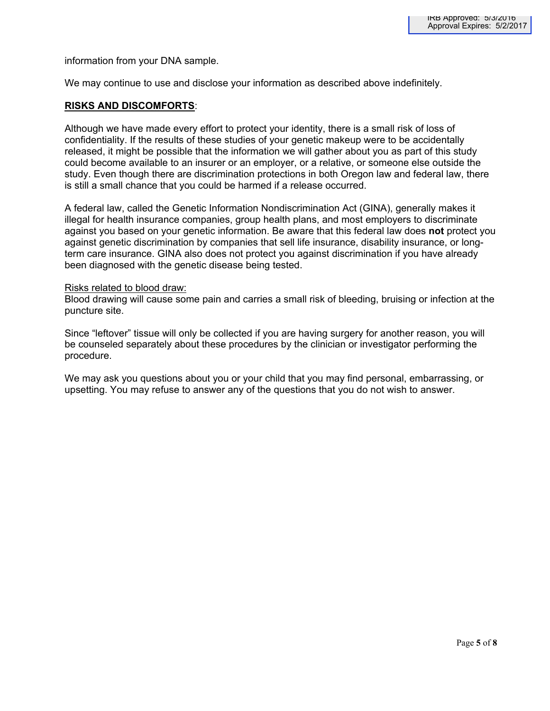information from your DNA sample.

We may continue to use and disclose your information as described above indefinitely.

### **RISKS AND DISCOMFORTS**:

Although we have made every effort to protect your identity, there is a small risk of loss of confidentiality. If the results of these studies of your genetic makeup were to be accidentally released, it might be possible that the information we will gather about you as part of this study could become available to an insurer or an employer, or a relative, or someone else outside the study. Even though there are discrimination protections in both Oregon law and federal law, there is still a small chance that you could be harmed if a release occurred.

A federal law, called the Genetic Information Nondiscrimination Act (GINA), generally makes it illegal for health insurance companies, group health plans, and most employers to discriminate against you based on your genetic information. Be aware that this federal law does **not** protect you against genetic discrimination by companies that sell life insurance, disability insurance, or longterm care insurance. GINA also does not protect you against discrimination if you have already been diagnosed with the genetic disease being tested.

#### Risks related to blood draw:

Blood drawing will cause some pain and carries a small risk of bleeding, bruising or infection at the puncture site.

Since "leftover" tissue will only be collected if you are having surgery for another reason, you will be counseled separately about these procedures by the clinician or investigator performing the procedure.

We may ask you questions about you or your child that you may find personal, embarrassing, or upsetting. You may refuse to answer any of the questions that you do not wish to answer.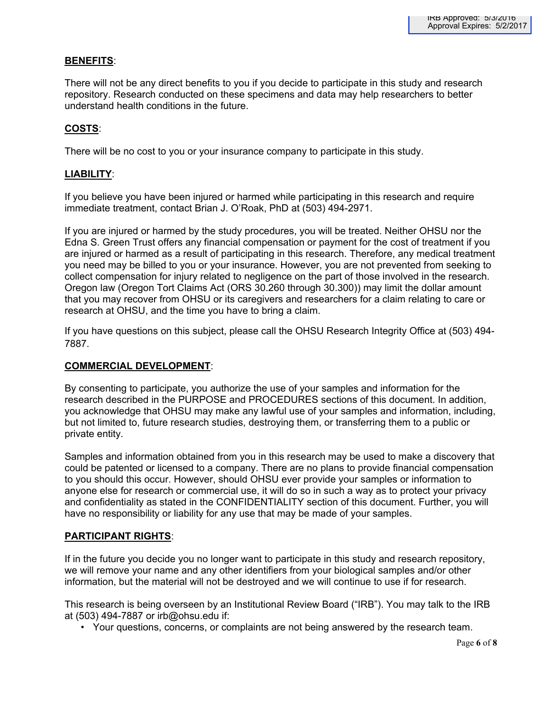## **BENEFITS**:

There will not be any direct benefits to you if you decide to participate in this study and research repository. Research conducted on these specimens and data may help researchers to better understand health conditions in the future.

## **COSTS**:

There will be no cost to you or your insurance company to participate in this study.

## **LIABILITY**:

If you believe you have been injured or harmed while participating in this research and require immediate treatment, contact Brian J. O'Roak, PhD at (503) 494-2971.

If you are injured or harmed by the study procedures, you will be treated. Neither OHSU nor the Edna S. Green Trust offers any financial compensation or payment for the cost of treatment if you are injured or harmed as a result of participating in this research. Therefore, any medical treatment you need may be billed to you or your insurance. However, you are not prevented from seeking to collect compensation for injury related to negligence on the part of those involved in the research. Oregon law (Oregon Tort Claims Act (ORS 30.260 through 30.300)) may limit the dollar amount that you may recover from OHSU or its caregivers and researchers for a claim relating to care or research at OHSU, and the time you have to bring a claim.

If you have questions on this subject, please call the OHSU Research Integrity Office at (503) 494- 7887.

## **COMMERCIAL DEVELOPMENT**:

By consenting to participate, you authorize the use of your samples and information for the research described in the PURPOSE and PROCEDURES sections of this document. In addition, you acknowledge that OHSU may make any lawful use of your samples and information, including, but not limited to, future research studies, destroying them, or transferring them to a public or private entity.

Samples and information obtained from you in this research may be used to make a discovery that could be patented or licensed to a company. There are no plans to provide financial compensation to you should this occur. However, should OHSU ever provide your samples or information to anyone else for research or commercial use, it will do so in such a way as to protect your privacy and confidentiality as stated in the CONFIDENTIALITY section of this document. Further, you will have no responsibility or liability for any use that may be made of your samples.

## **PARTICIPANT RIGHTS**:

If in the future you decide you no longer want to participate in this study and research repository, we will remove your name and any other identifiers from your biological samples and/or other information, but the material will not be destroyed and we will continue to use if for research.

This research is being overseen by an Institutional Review Board ("IRB"). You may talk to the IRB at (503) 494-7887 or irb@ohsu.edu if:

• Your questions, concerns, or complaints are not being answered by the research team.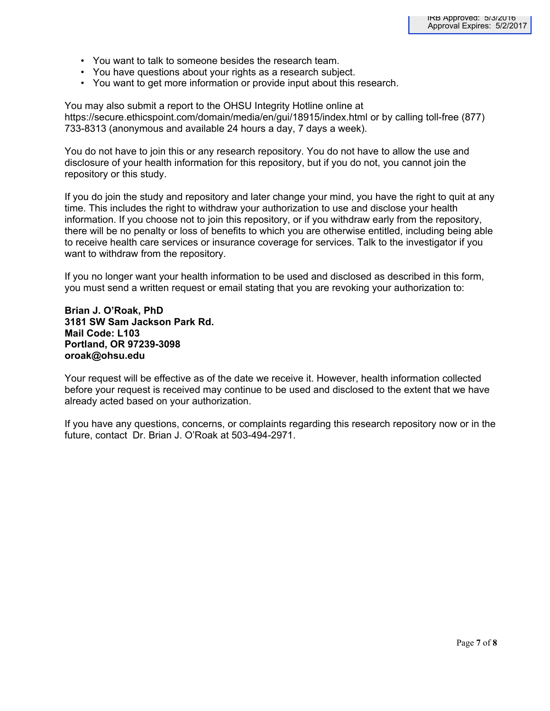- You want to talk to someone besides the research team.
- You have questions about your rights as a research subject.
- You want to get more information or provide input about this research.

You may also submit a report to the OHSU Integrity Hotline online at https://secure.ethicspoint.com/domain/media/en/gui/18915/index.html or by calling toll-free (877) 733-8313 (anonymous and available 24 hours a day, 7 days a week).

You do not have to join this or any research repository. You do not have to allow the use and disclosure of your health information for this repository, but if you do not, you cannot join the repository or this study.

If you do join the study and repository and later change your mind, you have the right to quit at any time. This includes the right to withdraw your authorization to use and disclose your health information. If you choose not to join this repository, or if you withdraw early from the repository, there will be no penalty or loss of benefits to which you are otherwise entitled, including being able to receive health care services or insurance coverage for services. Talk to the investigator if you want to withdraw from the repository.

If you no longer want your health information to be used and disclosed as described in this form, you must send a written request or email stating that you are revoking your authorization to:

**Brian J. O'Roak, PhD 3181 SW Sam Jackson Park Rd. Mail Code: L103 Portland, OR 97239-3098 oroak@ohsu.edu**

Your request will be effective as of the date we receive it. However, health information collected before your request is received may continue to be used and disclosed to the extent that we have already acted based on your authorization.

If you have any questions, concerns, or complaints regarding this research repository now or in the future, contact Dr. Brian J. O'Roak at 503-494-2971.